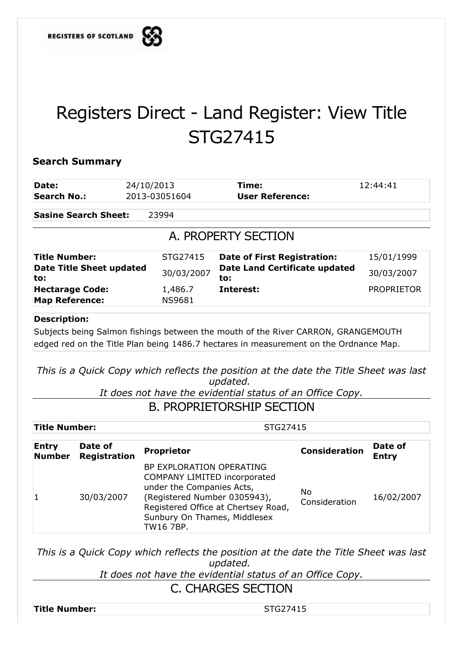

## Registers Direct - Land Register: View Title STG27415

## **Search Summary**

| Date:                                  | 24/10/2013    | Time:                                       | 12:44:41          |  |  |  |  |
|----------------------------------------|---------------|---------------------------------------------|-------------------|--|--|--|--|
| Search No.:                            | 2013-03051604 | <b>User Reference:</b>                      |                   |  |  |  |  |
| <b>Sasine Search Sheet:</b>            | 23994         |                                             |                   |  |  |  |  |
| A. PROPERTY SECTION                    |               |                                             |                   |  |  |  |  |
| <b>Title Number:</b>                   | STG27415      | <b>Date of First Registration:</b>          | 15/01/1999        |  |  |  |  |
| <b>Date Title Sheet updated</b><br>to: | 30/03/2007    | <b>Date Land Certificate updated</b><br>to: | 30/03/2007        |  |  |  |  |
| <b>Hectarage Code:</b>                 | 1,486.7       | Interest:                                   | <b>PROPRIETOR</b> |  |  |  |  |
| <b>Map Reference:</b>                  | <b>NS9681</b> |                                             |                   |  |  |  |  |
| $R = 1$                                |               |                                             |                   |  |  |  |  |

## **Description:**

Subjects being Salmon fishings between the mouth of the River CARRON, GRANGEMOUTH edged red on the Title Plan being 1486.7 hectares in measurement on the Ordnance Map.

*This is a Quick Copy which reflects the position at the date the Title Sheet was last updated.* 

*It does not have the evidential status of an Office Copy.*

## B. PROPRIETORSHIP SECTION

| <b>Title Number:</b>                                            |            | STG27415                                                                                                                                                                                                         |                      |                         |  |
|-----------------------------------------------------------------|------------|------------------------------------------------------------------------------------------------------------------------------------------------------------------------------------------------------------------|----------------------|-------------------------|--|
| Date of<br><b>Entry</b><br><b>Registration</b><br><b>Number</b> |            | <b>Proprietor</b>                                                                                                                                                                                                | <b>Consideration</b> | Date of<br><b>Entry</b> |  |
|                                                                 | 30/03/2007 | BP EXPLORATION OPERATING<br><b>COMPANY LIMITED incorporated</b><br>under the Companies Acts,<br>(Registered Number 0305943),<br>Registered Office at Chertsey Road,<br>Sunbury On Thames, Middlesex<br>TW16 7BP. | No.<br>Consideration | 16/02/2007              |  |

*This is a Quick Copy which reflects the position at the date the Title Sheet was last updated.* 

*It does not have the evidential status of an Office Copy.*

C. CHARGES SECTION

**Title Number:** STG27415